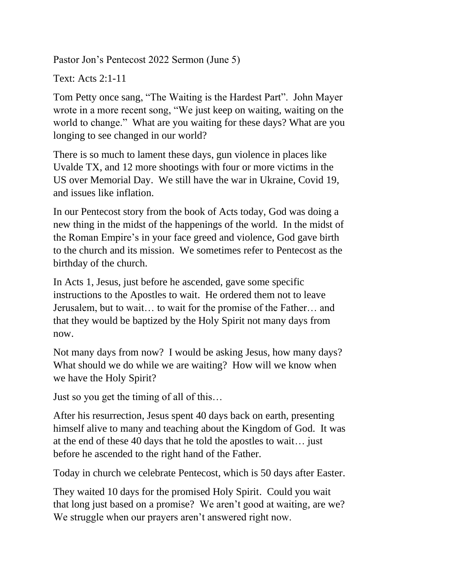Pastor Jon's Pentecost 2022 Sermon (June 5)

Text: Acts 2:1-11

Tom Petty once sang, "The Waiting is the Hardest Part". John Mayer wrote in a more recent song, "We just keep on waiting, waiting on the world to change." What are you waiting for these days? What are you longing to see changed in our world?

There is so much to lament these days, gun violence in places like Uvalde TX, and 12 more shootings with four or more victims in the US over Memorial Day. We still have the war in Ukraine, Covid 19, and issues like inflation.

In our Pentecost story from the book of Acts today, God was doing a new thing in the midst of the happenings of the world. In the midst of the Roman Empire's in your face greed and violence, God gave birth to the church and its mission. We sometimes refer to Pentecost as the birthday of the church.

In Acts 1, Jesus, just before he ascended, gave some specific instructions to the Apostles to wait. He ordered them not to leave Jerusalem, but to wait… to wait for the promise of the Father… and that they would be baptized by the Holy Spirit not many days from now.

Not many days from now? I would be asking Jesus, how many days? What should we do while we are waiting? How will we know when we have the Holy Spirit?

Just so you get the timing of all of this…

After his resurrection, Jesus spent 40 days back on earth, presenting himself alive to many and teaching about the Kingdom of God. It was at the end of these 40 days that he told the apostles to wait… just before he ascended to the right hand of the Father.

Today in church we celebrate Pentecost, which is 50 days after Easter.

They waited 10 days for the promised Holy Spirit. Could you wait that long just based on a promise? We aren't good at waiting, are we? We struggle when our prayers aren't answered right now.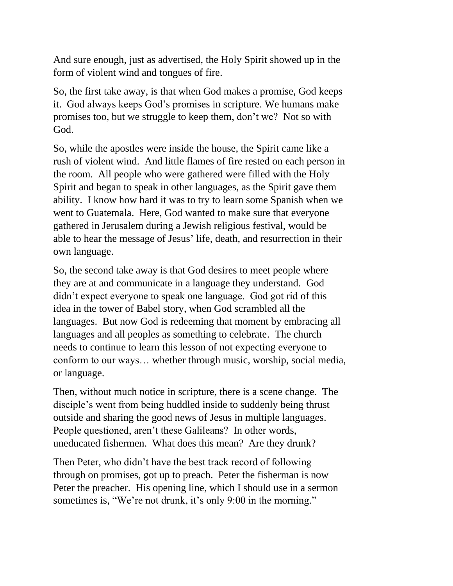And sure enough, just as advertised, the Holy Spirit showed up in the form of violent wind and tongues of fire.

So, the first take away, is that when God makes a promise, God keeps it. God always keeps God's promises in scripture. We humans make promises too, but we struggle to keep them, don't we? Not so with God.

So, while the apostles were inside the house, the Spirit came like a rush of violent wind. And little flames of fire rested on each person in the room. All people who were gathered were filled with the Holy Spirit and began to speak in other languages, as the Spirit gave them ability. I know how hard it was to try to learn some Spanish when we went to Guatemala. Here, God wanted to make sure that everyone gathered in Jerusalem during a Jewish religious festival, would be able to hear the message of Jesus' life, death, and resurrection in their own language.

So, the second take away is that God desires to meet people where they are at and communicate in a language they understand. God didn't expect everyone to speak one language. God got rid of this idea in the tower of Babel story, when God scrambled all the languages. But now God is redeeming that moment by embracing all languages and all peoples as something to celebrate. The church needs to continue to learn this lesson of not expecting everyone to conform to our ways… whether through music, worship, social media, or language.

Then, without much notice in scripture, there is a scene change. The disciple's went from being huddled inside to suddenly being thrust outside and sharing the good news of Jesus in multiple languages. People questioned, aren't these Galileans? In other words, uneducated fishermen. What does this mean? Are they drunk?

Then Peter, who didn't have the best track record of following through on promises, got up to preach. Peter the fisherman is now Peter the preacher. His opening line, which I should use in a sermon sometimes is, "We're not drunk, it's only 9:00 in the morning."